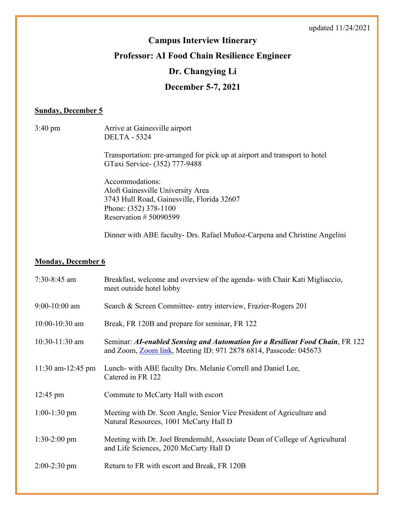# **Campus Interview Itinerary**

## **Professor: AI Food Chain Resilience Engineer**

### **Dr. Changying Li**

### **December 5-7, 2021**

#### **Sunday, December 5**

3:40 pm Arrive at Gainesville airport DELTA - 5324

> Transportation: pre-arranged for pick up at airport and transport to hotel GTaxi Service- (352) 777-9488

Accommodations: Aloft Gainesville University Area 3743 Hull Road, Gainesville, Florida 32607 Phone: (352) 378-1100 Reservation # 50090599

Dinner with ABE faculty- Drs. Rafael Muñoz-Carpena and Christine Angelini

#### **Monday, December 6**

| $7:30-8:45$ am      | Breakfast, welcome and overview of the agenda- with Chair Kati Migliaccio,<br>meet outside hotel lobby                                                    |
|---------------------|-----------------------------------------------------------------------------------------------------------------------------------------------------------|
| $9:00-10:00$ am     | Search & Screen Committee- entry interview, Frazier-Rogers 201                                                                                            |
| $10:00 - 10:30$ am  | Break, FR 120B and prepare for seminar, FR 122                                                                                                            |
| $10:30-11:30$ am    | Seminar: AI-enabled Sensing and Automation for a Resilient Food Chain, FR 122<br>and Zoom, <b>Zoom link</b> , Meeting ID: 971 2878 6814, Passcode: 045673 |
| $11:30$ am-12:45 pm | Lunch- with ABE faculty Drs. Melanie Correll and Daniel Lee,<br>Catered in FR 122                                                                         |
| $12:45 \text{ pm}$  | Commute to McCarty Hall with escort                                                                                                                       |
| $1:00-1:30$ pm      | Meeting with Dr. Scott Angle, Senior Vice President of Agriculture and<br>Natural Resources, 1001 McCarty Hall D                                          |
| $1:30-2:00$ pm      | Meeting with Dr. Joel Brendemuhl, Associate Dean of College of Agricultural<br>and Life Sciences, 2020 McCarty Hall D                                     |
| $2:00-2:30$ pm      | Return to FR with escort and Break, FR 120B                                                                                                               |
|                     |                                                                                                                                                           |